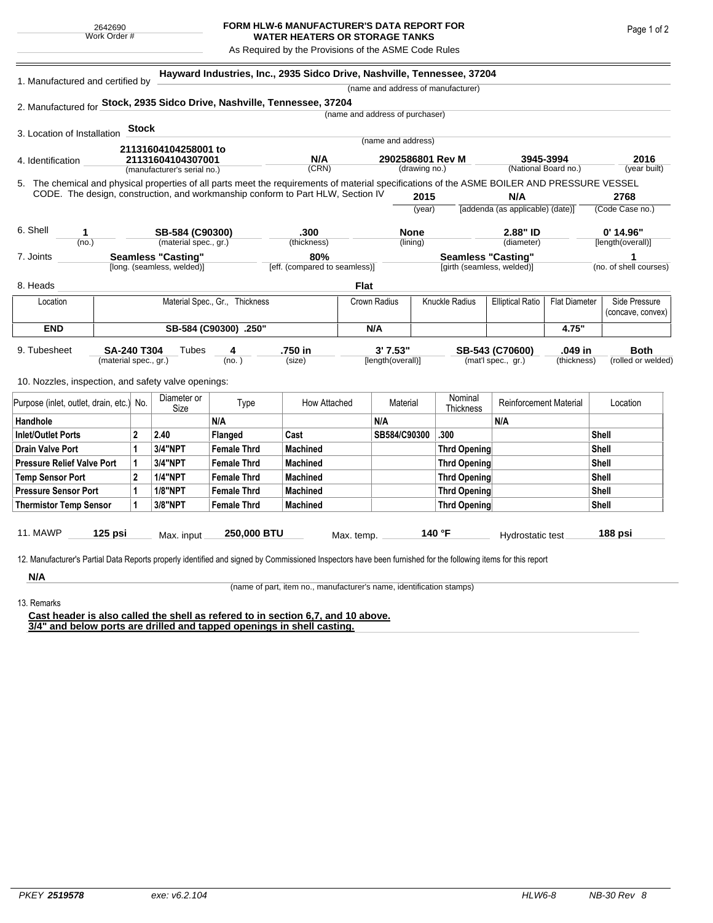## **FORM HLW-6 MANUFACTURER'S DATA REPORT FOR WATER HEATERS OR STORAGE TANKS**

As Required by the Provisions of the ASME Code Rules

| 1. Manufactured and certified by                                                                                                             |                           |                |                             | Hayward Industries, Inc., 2935 Sidco Drive, Nashville, Tennessee, 37204 |                               |                  |                                 |                                         |                                    |                               |                         |                   |                        |  |
|----------------------------------------------------------------------------------------------------------------------------------------------|---------------------------|----------------|-----------------------------|-------------------------------------------------------------------------|-------------------------------|------------------|---------------------------------|-----------------------------------------|------------------------------------|-------------------------------|-------------------------|-------------------|------------------------|--|
|                                                                                                                                              |                           |                |                             |                                                                         |                               |                  |                                 |                                         | (name and address of manufacturer) |                               |                         |                   |                        |  |
| 2. Manufactured for Stock, 2935 Sidco Drive, Nashville, Tennessee, 37204                                                                     |                           |                |                             |                                                                         |                               |                  |                                 |                                         |                                    |                               |                         |                   |                        |  |
|                                                                                                                                              |                           |                |                             |                                                                         |                               |                  | (name and address of purchaser) |                                         |                                    |                               |                         |                   |                        |  |
| 3. Location of Installation                                                                                                                  |                           | <b>Stock</b>   |                             |                                                                         |                               |                  |                                 |                                         |                                    |                               |                         |                   |                        |  |
| 21131604104258001 to<br>21131604104307001<br>4. Identification                                                                               |                           |                |                             | (name and address)                                                      |                               |                  |                                 |                                         |                                    |                               |                         |                   |                        |  |
|                                                                                                                                              |                           |                |                             |                                                                         | N/A                           | 2902586801 Rev M |                                 | 3945-3994                               |                                    |                               |                         | 2016              |                        |  |
|                                                                                                                                              |                           |                | (manufacturer's serial no.) |                                                                         | (CRN)                         |                  |                                 | (drawing no.)                           |                                    |                               | (National Board no.)    |                   | (year built)           |  |
| 5. The chemical and physical properties of all parts meet the requirements of material specifications of the ASME BOILER AND PRESSURE VESSEL |                           |                |                             |                                                                         |                               |                  |                                 |                                         |                                    |                               |                         |                   |                        |  |
| CODE. The design, construction, and workmanship conform to Part HLW, Section IV                                                              |                           |                |                             |                                                                         |                               | 2015             |                                 | N/A<br>[addenda (as applicable) (date)] |                                    |                               | 2768<br>(Code Case no.) |                   |                        |  |
|                                                                                                                                              |                           |                |                             |                                                                         |                               |                  |                                 | (year)                                  |                                    |                               |                         |                   |                        |  |
| 6. Shell<br>SB-584 (C90300)<br>1<br>(material spec., gr.)<br>(no.)                                                                           |                           |                |                             | .300                                                                    |                               | <b>None</b>      |                                 |                                         | 2.88" ID                           |                               |                         | $0'$ 14.96"       |                        |  |
|                                                                                                                                              |                           |                |                             | (thickness)                                                             |                               | (lining)         |                                 | (diameter)                              |                                    |                               | [length(overall)]       |                   |                        |  |
| 7. Joints                                                                                                                                    | <b>Seamless "Casting"</b> |                |                             |                                                                         | 80%                           |                  |                                 |                                         |                                    | <b>Seamless "Casting"</b>     |                         |                   | 1                      |  |
|                                                                                                                                              |                           |                | [long. (seamless, welded)]  |                                                                         | [eff. (compared to seamless)] |                  |                                 |                                         | [girth (seamless, welded)]         |                               |                         |                   | (no. of shell courses) |  |
| 8. Heads                                                                                                                                     |                           |                |                             |                                                                         |                               | <b>Flat</b>      |                                 |                                         |                                    |                               |                         |                   |                        |  |
| Material Spec., Gr., Thickness<br>Location                                                                                                   |                           |                |                             |                                                                         | Crown Radius                  |                  | <b>Knuckle Radius</b>           | <b>Elliptical Ratio</b>                 | <b>Flat Diameter</b>               |                               | Side Pressure           |                   |                        |  |
|                                                                                                                                              |                           |                |                             |                                                                         |                               |                  |                                 |                                         |                                    |                               |                         | (concave, convex) |                        |  |
| <b>END</b>                                                                                                                                   | SB-584 (C90300) .250"     |                |                             |                                                                         | N/A                           |                  |                                 |                                         | 4.75"                              |                               |                         |                   |                        |  |
| 9. Tubesheet                                                                                                                                 | SA-240 T304               |                | Tubes                       | 4                                                                       | .750 in                       |                  | 3'7.53"                         |                                         |                                    | SB-543 (C70600)               | .049 in                 |                   | <b>Both</b>            |  |
|                                                                                                                                              | (material spec., gr.)     |                |                             | (no.)                                                                   | (size)                        |                  | [length(overall)]               |                                         |                                    | (mat'l spec., gr.)            | (thickness)             |                   | (rolled or welded)     |  |
|                                                                                                                                              |                           |                |                             |                                                                         |                               |                  |                                 |                                         |                                    |                               |                         |                   |                        |  |
| 10. Nozzles, inspection, and safety valve openings:                                                                                          |                           |                |                             |                                                                         |                               |                  |                                 |                                         |                                    |                               |                         |                   |                        |  |
| Purpose (inlet, outlet, drain, etc.) No.                                                                                                     |                           |                | Diameter or<br>Size         | Type                                                                    | How Attached                  |                  | Material                        |                                         | Nominal<br>Thickness               | <b>Reinforcement Material</b> |                         |                   | Location               |  |
| Handhole                                                                                                                                     |                           |                |                             | N/A                                                                     |                               |                  | N/A                             |                                         |                                    | N/A                           |                         |                   |                        |  |
| <b>Inlet/Outlet Ports</b>                                                                                                                    |                           | $\overline{2}$ | 2.40                        | Flanged                                                                 | Cast                          |                  | SB584/C90300                    |                                         | .300                               |                               |                         | Shell             |                        |  |
| <b>Drain Valve Port</b>                                                                                                                      |                           | 1              | 3/4"NPT                     | <b>Female Thrd</b>                                                      | <b>Machined</b>               |                  |                                 |                                         | <b>Thrd Opening</b>                |                               |                         | Shell             |                        |  |
| <b>Pressure Relief Valve Port</b>                                                                                                            |                           | 1              | 3/4"NPT                     | <b>Female Thrd</b>                                                      | <b>Machined</b>               |                  |                                 |                                         | <b>Thrd Opening</b>                |                               |                         | <b>Shell</b>      |                        |  |
| <b>Temp Sensor Port</b>                                                                                                                      |                           | $\mathbf{2}$   | <b>1/4"NPT</b>              | <b>Female Thrd</b>                                                      | <b>Machined</b>               |                  |                                 |                                         | <b>Thrd Opening</b>                |                               |                         | <b>Shell</b>      |                        |  |
| <b>Pressure Sensor Port</b>                                                                                                                  |                           | 1              | <b>1/8"NPT</b>              | <b>Female Thrd</b>                                                      | <b>Machined</b>               |                  |                                 |                                         | <b>Thrd Opening</b>                |                               |                         | <b>Shell</b>      |                        |  |
| <b>Thermistor Temp Sensor</b>                                                                                                                |                           | 1              | 3/8"NPT                     | <b>Female Thrd</b>                                                      | <b>Machined</b>               |                  |                                 |                                         | <b>Thrd Opening</b>                |                               |                         | Shell             |                        |  |
|                                                                                                                                              |                           |                |                             |                                                                         |                               |                  |                                 |                                         |                                    |                               |                         |                   |                        |  |
| <b>11. MAWP</b>                                                                                                                              | $125$ psi                 |                | Max. input                  | 250,000 BTU                                                             |                               | Max. temp.       |                                 |                                         | 140 °F                             | Hydrostatic test              |                         | 188 psi           |                        |  |

**N/A** 13. Remarks

(name of part, item no., manufacturer's name, identification stamps)

**Cast header is also called the shell as refered to in section 6,7, and 10 above. 3/4" and below ports are drilled and tapped openings in shell casting.**